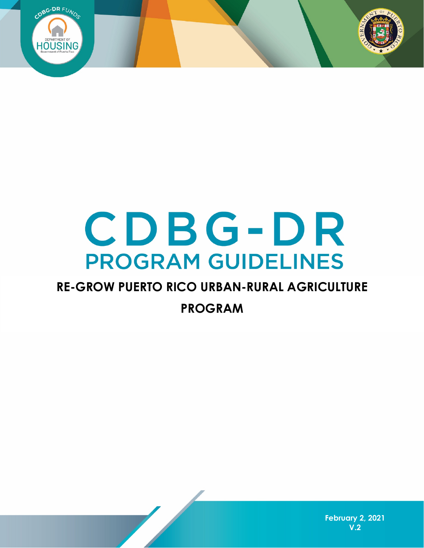



# CDBG-DR **PROGRAM GUIDELINES**

## **RE-GROW PUERTO RICO URBAN-RURAL AGRICULTURE**

## **PROGRAM**

**February 2, 2021 V.2**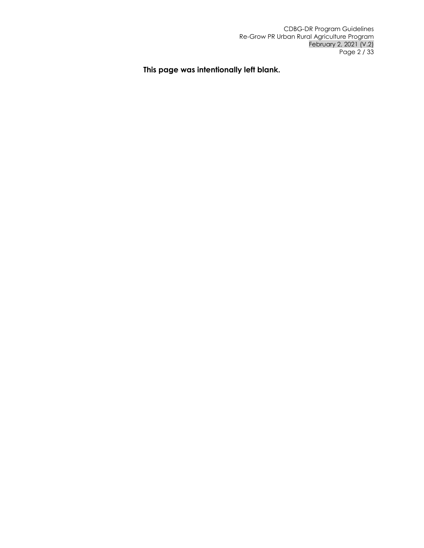CDBG-DR Program Guidelines Re-Grow PR Urban Rural Agriculture Program February 2, 2021 (V.2) Page 2 / 33

**This page was intentionally left blank.**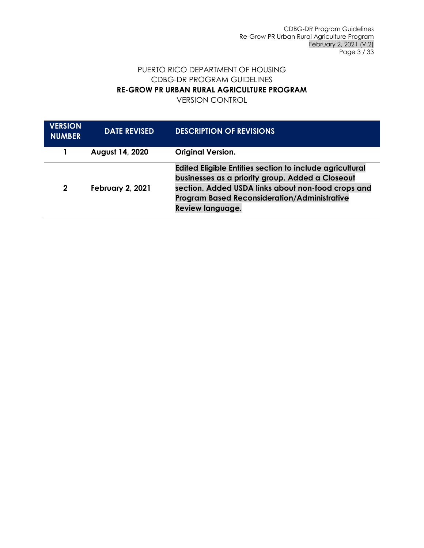CDBG-DR Program Guidelines Re-Grow PR Urban Rural Agriculture Program February 2, 2021 (V.2) Page 3 / 33

#### PUERTO RICO DEPARTMENT OF HOUSING CDBG-DR PROGRAM GUIDELINES **RE-GROW PR URBAN RURAL AGRICULTURE PROGRAM**

VERSION CONTROL

| <b>VERSION</b><br><b>NUMBER</b> | <b>DATE REVISED</b>     | <b>DESCRIPTION OF REVISIONS</b>                                                                                                                                                                                                                      |
|---------------------------------|-------------------------|------------------------------------------------------------------------------------------------------------------------------------------------------------------------------------------------------------------------------------------------------|
|                                 | August 14, 2020         | <b>Original Version.</b>                                                                                                                                                                                                                             |
| $\mathbf 2$                     | <b>February 2, 2021</b> | <b>Edited Eligible Entities section to include agricultural</b><br>businesses as a priority group. Added a Closeout<br>section. Added USDA links about non-food crops and<br><b>Program Based Reconsideration/Administrative</b><br>Review language. |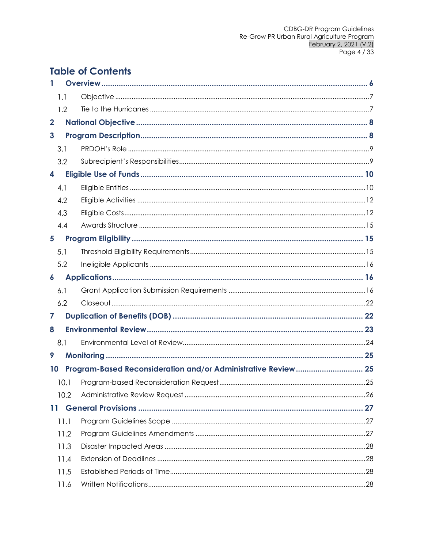## **Table of Contents**

| 1            |      |                                                               |  |
|--------------|------|---------------------------------------------------------------|--|
|              | 1.1  |                                                               |  |
|              | 1.2  |                                                               |  |
| $\mathbf{2}$ |      |                                                               |  |
| $\mathbf{3}$ |      |                                                               |  |
|              | 3.1  |                                                               |  |
|              | 3.2  |                                                               |  |
| 4            |      |                                                               |  |
|              | 4.1  |                                                               |  |
|              | 4.2  |                                                               |  |
|              | 4.3  |                                                               |  |
|              | 4.4  |                                                               |  |
| 5            |      |                                                               |  |
|              | 5.1  |                                                               |  |
|              | 5.2  |                                                               |  |
| 6            |      |                                                               |  |
|              | 6.1  |                                                               |  |
|              | 6.2  |                                                               |  |
| 7            |      |                                                               |  |
| 8            |      |                                                               |  |
|              | 8.1  |                                                               |  |
| 9            |      |                                                               |  |
| 10           |      | Program-Based Reconsideration and/or Administrative Review 25 |  |
|              | 10.1 |                                                               |  |
|              | 10.2 |                                                               |  |
|              |      |                                                               |  |
|              | 11.1 |                                                               |  |
|              | 11.2 |                                                               |  |
|              | 11.3 |                                                               |  |
|              | 11.4 |                                                               |  |
|              | 11.5 |                                                               |  |
|              | 11.6 |                                                               |  |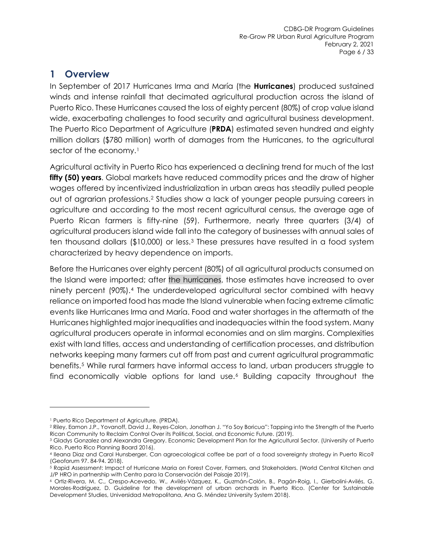## <span id="page-5-0"></span>**1 Overview**

In September of 2017 Hurricanes Irma and María (the **Hurricanes**) produced sustained winds and intense rainfall that decimated agricultural production across the island of Puerto Rico. These Hurricanes caused the loss of eighty percent (80%) of crop value island wide, exacerbating challenges to food security and agricultural business development. The Puerto Rico Department of Agriculture (**PRDA**) estimated seven hundred and eighty million dollars (\$780 million) worth of damages from the Hurricanes, to the agricultural sector of the economy.<sup>[1](#page-5-1)</sup>

Agricultural activity in Puerto Rico has experienced a declining trend for much of the last **fifty (50) years**. Global markets have reduced commodity prices and the draw of higher wages offered by incentivized industrialization in urban areas has steadily pulled people out of agrarian professions.[2](#page-5-2) Studies show a lack of younger people pursuing careers in agriculture and according to the most recent agricultural census, the average age of Puerto Rican farmers is fifty-nine (59). Furthermore, nearly three quarters (3/4) of agricultural producers island wide fall into the category of businesses with annual sales of ten thousand dollars (\$10,000) or less.[3](#page-5-3) These pressures have resulted in a food system characterized by heavy dependence on imports.

Before the Hurricanes over eighty percent (80%) of all agricultural products consumed on the Island were imported; after the hurricanes, those estimates have increased to over ninety percent (90%).[4](#page-5-4) The underdeveloped agricultural sector combined with heavy reliance on imported food has made the Island vulnerable when facing extreme climatic events like Hurricanes Irma and María. Food and water shortages in the aftermath of the Hurricanes highlighted major inequalities and inadequacies within the food system. Many agricultural producers operate in informal economies and on slim margins. Complexities exist with land titles, access and understanding of certification processes, and distribution networks keeping many farmers cut off from past and current agricultural programmatic benefits.[5](#page-5-5) While rural farmers have informal access to land, urban producers struggle to find economically viable options for land use.[6](#page-5-6) Building capacity throughout the

 $\overline{a}$ 

<span id="page-5-1"></span><sup>1</sup> Puerto Rico Department of Agriculture. (PRDA).

<span id="page-5-2"></span><sup>2</sup> Riley, Eamon J.P., Yovanoff, David J., Reyes-Colon, Jonathan J. "Yo Soy Boricua": Tapping into the Strength of the Puerto Rican Community to Reclaim Control Over its Political, Social, and Economic Future. (2019).

<span id="page-5-3"></span><sup>&</sup>lt;sup>3</sup> Gladys Gonzalez and Alexandra Gregory. Economic Development Plan for the Agricultural Sector. (University of Puerto Rico. Puerto Rico Planning Board 2016).

<span id="page-5-4"></span><sup>4</sup> Ileana Diaz and Carol Hunsberger, Can agroecological coffee be part of a food sovereignty strategy in Puerto Rico? (Geoforum 97. 84-94. 2018).

<span id="page-5-5"></span><sup>5</sup> Rapid Assessment: Impact of Hurricane Maria on Forest Cover, Farmers, and Stakeholders. (World Central Kitchen and J/P HRO in partnership with Centro para la Conservación del Paisaje 2019).

<span id="page-5-6"></span><sup>6</sup> Ortiz-Rivera, M. C., Crespo-Acevedo, W., Avilés-Vázquez, K., Guzmán-Colón, B., Pagán-Roig, I., Gierbolini-Avilés, G. Morales-Rodríguez, D. Guideline for the development of urban orchards in Puerto Rico. (Center for Sustainable Development Studies, Universidad Metropolitana, Ana G. Méndez University System 2018).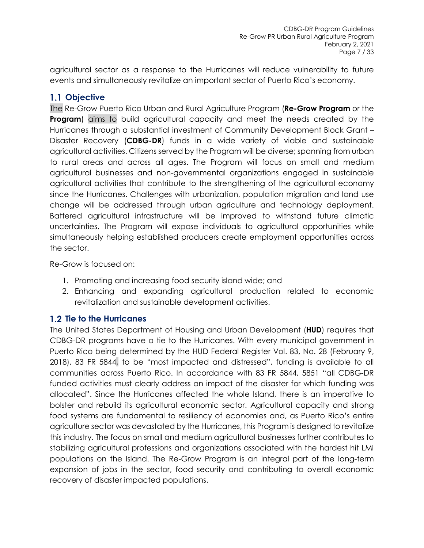agricultural sector as a response to the Hurricanes will reduce vulnerability to future events and simultaneously revitalize an important sector of Puerto Rico's economy.

#### <span id="page-6-0"></span>1.1 Objective

The Re-Grow Puerto Rico Urban and Rural Agriculture Program (**Re-Grow Program** or the **Program**) aims to build agricultural capacity and meet the needs created by the Hurricanes through a substantial investment of Community Development Block Grant – Disaster Recovery (**CDBG-DR**) funds in a wide variety of viable and sustainable agricultural activities. Citizens served by the Program will be diverse; spanning from urban to rural areas and across all ages. The Program will focus on small and medium agricultural businesses and non-governmental organizations engaged in sustainable agricultural activities that contribute to the strengthening of the agricultural economy since the Hurricanes. Challenges with urbanization, population migration and land use change will be addressed through urban agriculture and technology deployment. Battered agricultural infrastructure will be improved to withstand future climatic uncertainties. The Program will expose individuals to agricultural opportunities while simultaneously helping established producers create employment opportunities across the sector.

Re-Grow is focused on:

- 1. Promoting and increasing food security island wide; and
- 2. Enhancing and expanding agricultural production related to economic revitalization and sustainable development activities.

#### <span id="page-6-1"></span>**Tie to the Hurricanes**

The United States Department of Housing and Urban Development (**HUD**) requires that CDBG-DR programs have a tie to the Hurricanes. With every municipal government in Puerto Rico being determined by the HUD Federal Register Vol. 83, No. 28 (February 9, 2018), 83 FR 5844, to be "most impacted and distressed", funding is available to all communities across Puerto Rico. In accordance with 83 FR 5844, 5851 "all CDBG-DR funded activities must clearly address an impact of the disaster for which funding was allocated". Since the Hurricanes affected the whole Island, there is an imperative to bolster and rebuild its agricultural economic sector. Agricultural capacity and strong food systems are fundamental to resiliency of economies and, as Puerto Rico's entire agriculture sector was devastated by the Hurricanes, this Program is designed to revitalize this industry. The focus on small and medium agricultural businesses further contributes to stabilizing agricultural professions and organizations associated with the hardest hit LMI populations on the Island. The Re-Grow Program is an integral part of the long-term expansion of jobs in the sector, food security and contributing to overall economic recovery of disaster impacted populations.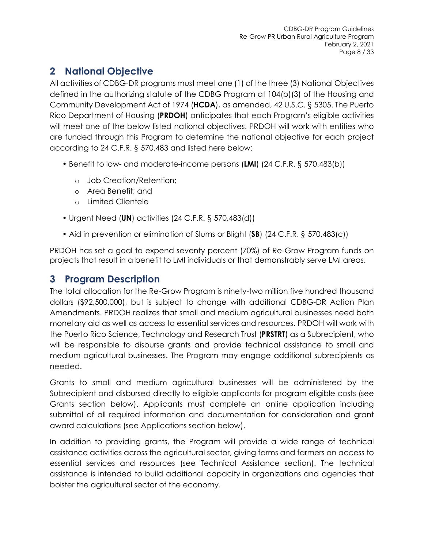## <span id="page-7-0"></span>**2 National Objective**

All activities of CDBG-DR programs must meet one (1) of the three (3) National Objectives defined in the authorizing statute of the CDBG Program at 104(b)(3) of the Housing and Community Development Act of 1974 (**HCDA**), as amended, 42 U.S.C. § 5305. The Puerto Rico Department of Housing (**PRDOH**) anticipates that each Program's eligible activities will meet one of the below listed national objectives. PRDOH will work with entities who are funded through this Program to determine the national objective for each project according to 24 C.F.R. § 570.483 and listed here below:

- Benefit to low- and moderate-income persons (**LMI**) (24 C.F.R. § 570.483(b))
	- o Job Creation/Retention;
	- o Area Benefit; and
	- o Limited Clientele
- Urgent Need (**UN**) activities (24 C.F.R. § 570.483(d))
- Aid in prevention or elimination of Slums or Blight (**SB**) (24 C.F.R. § 570.483(c))

PRDOH has set a goal to expend seventy percent (70%) of Re-Grow Program funds on projects that result in a benefit to LMI individuals or that demonstrably serve LMI areas.

## <span id="page-7-1"></span>**3 Program Description**

The total allocation for the Re-Grow Program is ninety-two million five hundred thousand dollars (\$92,500,000), but is subject to change with additional CDBG-DR Action Plan Amendments. PRDOH realizes that small and medium agricultural businesses need both monetary aid as well as access to essential services and resources. PRDOH will work with the Puerto Rico Science, Technology and Research Trust (**PRSTRT**) as a Subrecipient, who will be responsible to disburse grants and provide technical assistance to small and medium agricultural businesses. The Program may engage additional subrecipients as needed.

Grants to small and medium agricultural businesses will be administered by the Subrecipient and disbursed directly to eligible applicants for program eligible costs (see Grants section below). Applicants must complete an online application including submittal of all required information and documentation for consideration and grant award calculations (see Applications section below).

In addition to providing grants, the Program will provide a wide range of technical assistance activities across the agricultural sector, giving farms and farmers an access to essential services and resources (see Technical Assistance section). The technical assistance is intended to build additional capacity in organizations and agencies that bolster the agricultural sector of the economy.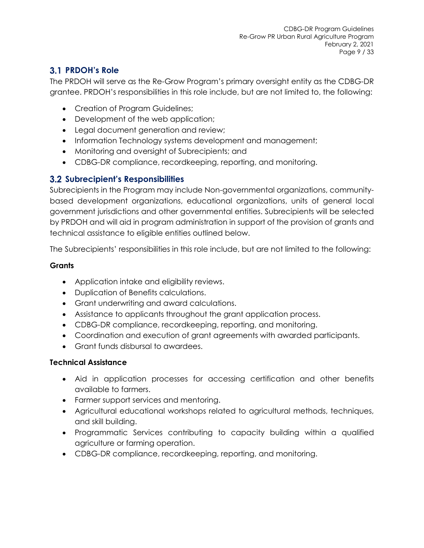#### <span id="page-8-0"></span>**3.1 PRDOH's Role**

The PRDOH will serve as the Re-Grow Program's primary oversight entity as the CDBG-DR grantee. PRDOH's responsibilities in this role include, but are not limited to, the following:

- Creation of Program Guidelines;
- Development of the web application;
- Legal document generation and review;
- Information Technology systems development and management;
- Monitoring and oversight of Subrecipients; and
- CDBG-DR compliance, recordkeeping, reporting, and monitoring.

#### <span id="page-8-1"></span>**Subrecipient's Responsibilities**

Subrecipients in the Program may include Non-governmental organizations, communitybased development organizations, educational organizations, units of general local government jurisdictions and other governmental entities. Subrecipients will be selected by PRDOH and will aid in program administration in support of the provision of grants and technical assistance to eligible entities outlined below.

The Subrecipients' responsibilities in this role include, but are not limited to the following:

#### **Grants**

- Application intake and eligibility reviews.
- Duplication of Benefits calculations.
- Grant underwriting and award calculations.
- Assistance to applicants throughout the grant application process.
- CDBG-DR compliance, recordkeeping, reporting, and monitoring.
- Coordination and execution of grant agreements with awarded participants.
- Grant funds disbursal to awardees.

#### **Technical Assistance**

- Aid in application processes for accessing certification and other benefits available to farmers.
- Farmer support services and mentoring.
- Agricultural educational workshops related to agricultural methods, techniques, and skill building.
- Programmatic Services contributing to capacity building within a qualified agriculture or farming operation.
- CDBG-DR compliance, recordkeeping, reporting, and monitoring.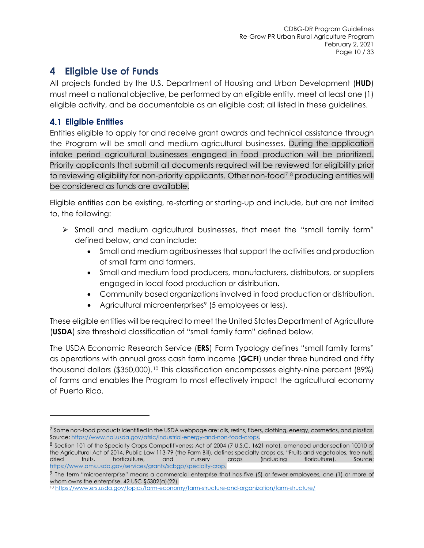## <span id="page-9-0"></span>**4 Eligible Use of Funds**

All projects funded by the U.S. Department of Housing and Urban Development (**HUD**) must meet a national objective, be performed by an eligible entity, meet at least one (1) eligible activity, and be documentable as an eligible cost; all listed in these guidelines.

#### <span id="page-9-1"></span>**Eligible Entities**

 $\overline{a}$ 

Entities eligible to apply for and receive grant awards and technical assistance through the Program will be small and medium agricultural businesses. During the application intake period agricultural businesses engaged in food production will be prioritized. Priority applicants that submit all documents required will be reviewed for eligibility prior to reviewing eligibility for non-priority applicants. Other non-food<sup>[7](#page-9-2)</sup> [8](#page-9-3) producing entities will be considered as funds are available.

Eligible entities can be existing, re-starting or starting-up and include, but are not limited to, the following:

- $\triangleright$  Small and medium agricultural businesses, that meet the "small family farm" defined below, and can include:
	- Small and medium agribusinesses that support the activities and production of small farm and farmers.
	- Small and medium food producers, manufacturers, distributors, or suppliers engaged in local food production or distribution.
	- Community based organizations involved in food production or distribution.
	- Agricultural microenterprises<sup>[9](#page-9-4)</sup> (5 employees or less).

These eligible entities will be required to meet the United States Department of Agriculture (**USDA**) size threshold classification of "small family farm" defined below.

The USDA Economic Research Service (**ERS**) Farm Typology defines "small family farms" as operations with annual gross cash farm income (**GCFI**) under three hundred and fifty thousand dollars (\$350,000).[10](#page-9-5) This classification encompasses eighty-nine percent (89%) of farms and enables the Program to most effectively impact the agricultural economy of Puerto Rico.

<span id="page-9-2"></span> $^7$  Some non-food products identified in the USDA webpage are: oils, resins, fibers, clothing, energy, cosmetics, and plastics. Source[: https://www.nal.usda.gov/afsic/industrial-energy-and-non-food-crops.](https://www.nal.usda.gov/afsic/industrial-energy-and-non-food-crops) 

<span id="page-9-3"></span><sup>&</sup>lt;sup>8</sup> Section 101 of the Specialty Crops Competitiveness Act of 2004 (7 U.S.C. 1621 note), amended under section 10010 of the Agricultural Act of 2014, Public Law 113-79 (the Farm Bill), defines specialty crops as, "Fruits and vegetables, tree nuts, dried fruits, horticulture, and nursery crops (including floriculture). Source: [https://www.ams.usda.gov/services/grants/scbgp/specialty-crop.](https://www.ams.usda.gov/services/grants/scbgp/specialty-crop)

<span id="page-9-4"></span> $9$  The term "microenterprise" means a commercial enterprise that has five (5) or fewer employees, one (1) or more of whom owns the enterprise. 42 USC §5302(a)(22).

<span id="page-9-5"></span><sup>10</sup> <https://www.ers.usda.gov/topics/farm-economy/farm-structure-and-organization/farm-structure/>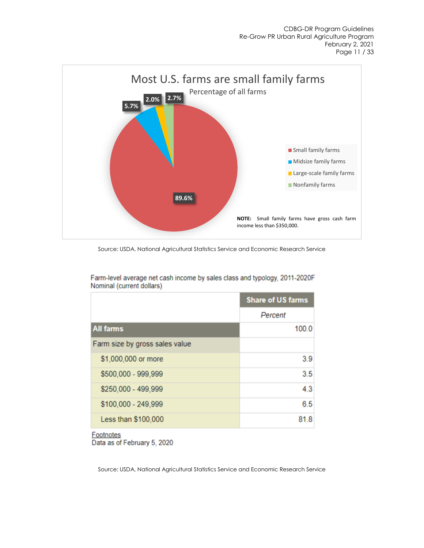

Source: USDA, National Agricultural Statistics Service and Economic Research Service

|                                | <b>Share of US farms</b> |
|--------------------------------|--------------------------|
|                                | Percent                  |
| <b>All farms</b>               | 100.0                    |
| Farm size by gross sales value |                          |
| \$1,000,000 or more            | 3.9                      |
| \$500,000 - 999,999            | 3.5                      |
| \$250,000 - 499,999            | 4.3                      |
| \$100,000 - 249,999            | 6.5                      |
| Less than \$100,000            | 81.8                     |

Farm-level average net cash income by sales class and typology, 2011-2020F Nominal (current dollars)

#### **Footnotes**

Data as of February 5, 2020

Source: USDA, National Agricultural Statistics Service and Economic Research Service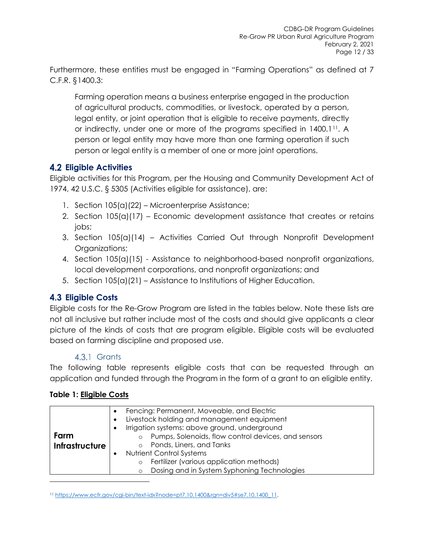Furthermore, these entities must be engaged in "Farming Operations" as defined at 7 C.F.R. §1400.3:

Farming operation means a business enterprise engaged in the production of agricultural products, commodities, or livestock, operated by a person, legal entity, or joint operation that is eligible to receive payments, directly or indirectly, under one or more of the programs specified in 1400.1[11](#page-11-2). A person or legal entity may have more than one farming operation if such person or legal entity is a member of one or more joint operations.

#### <span id="page-11-0"></span>**Eligible Activities**

Eligible activities for this Program, per the Housing and Community Development Act of 1974, 42 U.S.C. § 5305 (Activities eligible for assistance), are:

- 1. Section 105(a)(22) Microenterprise Assistance;
- 2. Section 105(a)(17) Economic development assistance that creates or retains iobs:
- 3. Section 105(a)(14) Activities Carried Out through Nonprofit Development Organizations;
- 4. Section 105(a)(15) Assistance to neighborhood-based nonprofit organizations, local development corporations, and nonprofit organizations; and
- 5. Section 105(a)(21) Assistance to Institutions of Higher Education.

#### <span id="page-11-1"></span>**Eligible Costs**

Eligible costs for the Re-Grow Program are listed in the tables below. Note these lists are not all inclusive but rather include most of the costs and should give applicants a clear picture of the kinds of costs that are program eligible. Eligible costs will be evaluated based on farming discipline and proposed use.

#### 4.3.1 Grants

The following table represents eligible costs that can be requested through an application and funded through the Program in the form of a grant to an eligible entity.

#### **Table 1: Eligible Costs**

 $\overline{a}$ 

| Farm           | Fencing: Permanent, Moveable, and Electric<br>Livestock holding and management equipment<br>Irrigation systems: above ground, underground<br>Pumps, Solenoids, flow control devices, and sensors |
|----------------|--------------------------------------------------------------------------------------------------------------------------------------------------------------------------------------------------|
| Infrastructure | o Ponds, Liners, and Tanks<br>Nutrient Control Systems<br>Fertilizer (various application methods)                                                                                               |
|                | Dosing and in System Syphoning Technologies                                                                                                                                                      |

<span id="page-11-2"></span><sup>11</sup> [https://www.ecfr.gov/cgi-bin/text-idx?node=pt7.10.1400&rgn=div5#se7.10.1400\\_11.](https://www.ecfr.gov/cgi-bin/text-idx?node=pt7.10.1400&rgn=div5#se7.10.1400_11)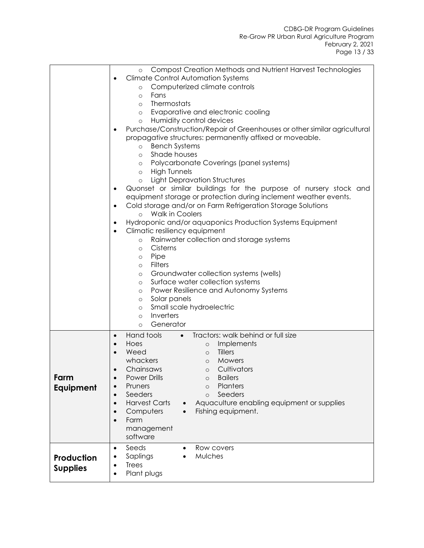|                               | o Compost Creation Methods and Nutrient Harvest Technologies<br><b>Climate Control Automation Systems</b><br>Computerized climate controls<br>$\circ$<br>Fans<br>$\circ$<br>Thermostats<br>$\circ$<br>Evaporative and electronic cooling<br>$\circ$<br>Humidity control devices<br>$\circ$<br>Purchase/Construction/Repair of Greenhouses or other similar agricultural<br>propagative structures: permanently affixed or moveable.<br><b>Bench Systems</b><br>$\circ$<br>Shade houses<br>$\circ$<br>Polycarbonate Coverings (panel systems)<br>$\circ$<br>High Tunnels<br>$\circ$<br><b>Light Depravation Structures</b><br>$\circ$<br>Quonset or similar buildings for the purpose of nursery stock and<br>equipment storage or protection during inclement weather events.<br>Cold storage and/or on Farm Refrigeration Storage Solutions<br>$\bullet$<br><b>Walk in Coolers</b><br>$\circ$<br>Hydroponic and/or aquaponics Production Systems Equipment<br>$\bullet$<br>Climatic resiliency equipment<br>$\bullet$<br>Rainwater collection and storage systems<br>$\circ$<br>Cisterns<br>$\circ$<br>Pipe<br>$\circ$<br><b>Filters</b><br>$\circ$<br>Groundwater collection systems (wells)<br>$\circ$<br>Surface water collection systems<br>$\circ$<br>Power Resilience and Autonomy Systems<br>$\circ$<br>Solar panels<br>$\circ$<br>Small scale hydroelectric<br>$\circ$<br>Inverters<br>$\circ$<br>Generator<br>$\circ$ |
|-------------------------------|---------------------------------------------------------------------------------------------------------------------------------------------------------------------------------------------------------------------------------------------------------------------------------------------------------------------------------------------------------------------------------------------------------------------------------------------------------------------------------------------------------------------------------------------------------------------------------------------------------------------------------------------------------------------------------------------------------------------------------------------------------------------------------------------------------------------------------------------------------------------------------------------------------------------------------------------------------------------------------------------------------------------------------------------------------------------------------------------------------------------------------------------------------------------------------------------------------------------------------------------------------------------------------------------------------------------------------------------------------------------------------------------------------------------------------|
| Farm<br>Equipment             | Tractors: walk behind or full size<br>Hand tools<br>$\bullet$<br>$\bullet$<br>Implements<br>Hoes<br>$\bullet$<br>$\circ$<br>Weed<br>Tillers<br>$\circ$<br>whackers<br>Mowers<br>$\circ$<br>Chainsaws<br>Cultivators<br>$\circ$<br><b>Power Drills</b><br><b>Bailers</b><br>$\circ$<br>Planters<br>Pruners<br>$\bullet$<br>$\circ$<br>Seeders<br>Seeders<br>$\bullet$<br>$\circ$<br><b>Harvest Carts</b><br>Aquaculture enabling equipment or supplies<br>$\bullet$<br>Fishing equipment.<br>Computers<br>$\bullet$<br>Farm<br>$\bullet$<br>management<br>software                                                                                                                                                                                                                                                                                                                                                                                                                                                                                                                                                                                                                                                                                                                                                                                                                                                               |
| Production<br><b>Supplies</b> | Seeds<br>Row covers<br>$\bullet$<br>Mulches<br>Saplings<br>$\bullet$<br>Trees<br>$\bullet$<br>Plant plugs<br>$\bullet$                                                                                                                                                                                                                                                                                                                                                                                                                                                                                                                                                                                                                                                                                                                                                                                                                                                                                                                                                                                                                                                                                                                                                                                                                                                                                                          |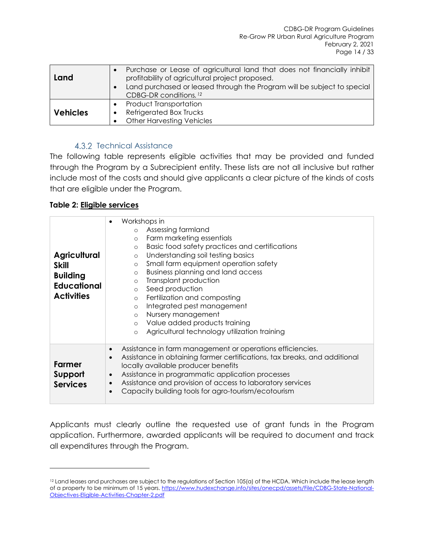| Land            | Purchase or Lease of agricultural land that does not financially inhibit<br>profitability of agricultural project proposed.<br>Land purchased or leased through the Program will be subject to special<br>CDBG-DR conditions. <sup>12</sup> |
|-----------------|---------------------------------------------------------------------------------------------------------------------------------------------------------------------------------------------------------------------------------------------|
| <b>Vehicles</b> | <b>Product Transportation</b><br>Refrigerated Box Trucks<br><b>Other Harvesting Vehicles</b>                                                                                                                                                |

#### 4.3.2 Technical Assistance

The following table represents eligible activities that may be provided and funded through the Program by a Subrecipient entity. These lists are not all inclusive but rather include most of the costs and should give applicants a clear picture of the kinds of costs that are eligible under the Program.

#### **Table 2: Eligible services**

 $\overline{a}$ 

|                                       | Workshops in<br>٠                                                                                                                                                                                                                                                                                                                                                                                                      |  |
|---------------------------------------|------------------------------------------------------------------------------------------------------------------------------------------------------------------------------------------------------------------------------------------------------------------------------------------------------------------------------------------------------------------------------------------------------------------------|--|
|                                       | Assessing farmland<br>$\circ$<br>Farm marketing essentials<br>$\circ$                                                                                                                                                                                                                                                                                                                                                  |  |
| <b>Agricultural</b><br><b>Skill</b>   | Basic food safety practices and certifications<br>$\circ$<br>Understanding soil testing basics<br>$\circ$<br>Small farm equipment operation safety<br>$\circ$                                                                                                                                                                                                                                                          |  |
| <b>Building</b><br><b>Educational</b> | <b>Business planning and land access</b><br>$\circ$<br>Transplant production<br>$\circ$<br>Seed production<br>$\circ$                                                                                                                                                                                                                                                                                                  |  |
| <b>Activities</b>                     | Fertilization and composting<br>$\circ$<br>Integrated pest management<br>$\circ$                                                                                                                                                                                                                                                                                                                                       |  |
|                                       | Nursery management<br>$\circ$<br>Value added products training<br>$\circ$<br>Agricultural technology utilization training<br>$\circ$                                                                                                                                                                                                                                                                                   |  |
| Farmer<br>Support<br><b>Services</b>  | Assistance in farm management or operations efficiencies.<br>$\bullet$<br>Assistance in obtaining farmer certifications, tax breaks, and additional<br>$\bullet$<br>locally available producer benefits<br>Assistance in programmatic application processes<br>$\bullet$<br>Assistance and provision of access to laboratory services<br>$\bullet$<br>Capacity building tools for agro-tourism/ecotourism<br>$\bullet$ |  |

Applicants must clearly outline the requested use of grant funds in the Program application. Furthermore, awarded applicants will be required to document and track all expenditures through the Program.

<span id="page-13-0"></span><sup>&</sup>lt;sup>12</sup> Land leases and purchases are subject to the regulations of Section 105(a) of the HCDA. Which include the lease length of a property to be minimum of 15 years[. https://www.hudexchange.info/sites/onecpd/assets/File/CDBG-State-National-](https://www.hudexchange.info/sites/onecpd/assets/File/CDBG-State-National-Objectives-Eligible-Activities-Chapter-2.pdf)[Objectives-Eligible-Activities-Chapter-2.pdf](https://www.hudexchange.info/sites/onecpd/assets/File/CDBG-State-National-Objectives-Eligible-Activities-Chapter-2.pdf)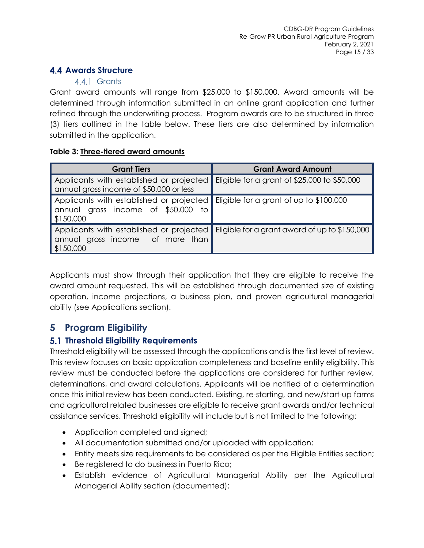#### <span id="page-14-0"></span>**Awards Structure**

#### 4.4.1 Grants

Grant award amounts will range from \$25,000 to \$150,000. Award amounts will be determined through information submitted in an online grant application and further refined through the underwriting process. Program awards are to be structured in three (3) tiers outlined in the table below. These tiers are also determined by information submitted in the application.

#### **Table 3: Three-tiered award amounts**

| <b>Grant Tiers</b>                                                                              | <b>Grant Award Amount</b>                     |
|-------------------------------------------------------------------------------------------------|-----------------------------------------------|
| Applicants with established or projected<br>annual gross income of \$50,000 or less             | Eligible for a grant of \$25,000 to \$50,000  |
| Applicants with established or projected<br>annual gross income of \$50,000<br>to.<br>\$150,000 | Eligible for a grant of up to \$100,000       |
| Applicants with established or projected<br>annual gross income of more than<br>\$150,000       | Eligible for a grant award of up to \$150,000 |

Applicants must show through their application that they are eligible to receive the award amount requested. This will be established through documented size of existing operation, income projections, a business plan, and proven agricultural managerial ability (see Applications section).

## <span id="page-14-1"></span>**5 Program Eligibility**

### <span id="page-14-2"></span>**Threshold Eligibility Requirements**

Threshold eligibility will be assessed through the applications and is the first level of review. This review focuses on basic application completeness and baseline entity eligibility. This review must be conducted before the applications are considered for further review, determinations, and award calculations. Applicants will be notified of a determination once this initial review has been conducted. Existing, re-starting, and new/start-up farms and agricultural related businesses are eligible to receive grant awards and/or technical assistance services. Threshold eligibility will include but is not limited to the following:

- Application completed and signed;
- All documentation submitted and/or uploaded with application;
- Entity meets size requirements to be considered as per the Eligible Entities section;
- Be registered to do business in Puerto Rico;
- Establish evidence of Agricultural Managerial Ability per the Agricultural Managerial Ability section (documented);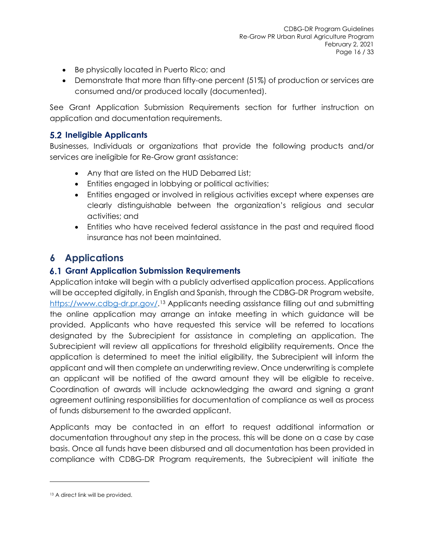- Be physically located in Puerto Rico; and
- Demonstrate that more than fifty-one percent (51%) of production or services are consumed and/or produced locally (documented).

See Grant Application Submission Requirements section for further instruction on application and documentation requirements.

#### <span id="page-15-0"></span>**Ineligible Applicants**

Businesses, Individuals or organizations that provide the following products and/or services are ineligible for Re-Grow grant assistance:

- Any that are listed on the HUD Debarred List;
- Entities engaged in lobbying or political activities;
- Entities engaged or involved in religious activities except where expenses are clearly distinguishable between the organization's religious and secular activities; and
- Entities who have received federal assistance in the past and required flood insurance has not been maintained.

## <span id="page-15-1"></span>**6 Applications**

#### <span id="page-15-2"></span>**Grant Application Submission Requirements**

Application intake will begin with a publicly advertised application process. Applications will be accepted digitally, in English and Spanish, through the CDBG-DR Program website, [https://www.cdbg-dr.pr.gov/.](https://www.cdbg-dr.pr.gov/)<sup>[13](#page-15-3)</sup> Applicants needing assistance filling out and submitting the online application may arrange an intake meeting in which guidance will be provided. Applicants who have requested this service will be referred to locations designated by the Subrecipient for assistance in completing an application. The Subrecipient will review all applications for threshold eligibility requirements. Once the application is determined to meet the initial eligibility, the Subrecipient will inform the applicant and will then complete an underwriting review. Once underwriting is complete an applicant will be notified of the award amount they will be eligible to receive. Coordination of awards will include acknowledging the award and signing a grant agreement outlining responsibilities for documentation of compliance as well as process of funds disbursement to the awarded applicant.

Applicants may be contacted in an effort to request additional information or documentation throughout any step in the process, this will be done on a case by case basis. Once all funds have been disbursed and all documentation has been provided in compliance with CDBG-DR Program requirements, the Subrecipient will initiate the

 $\overline{a}$ 

<span id="page-15-3"></span><sup>&</sup>lt;sup>13</sup> A direct link will be provided.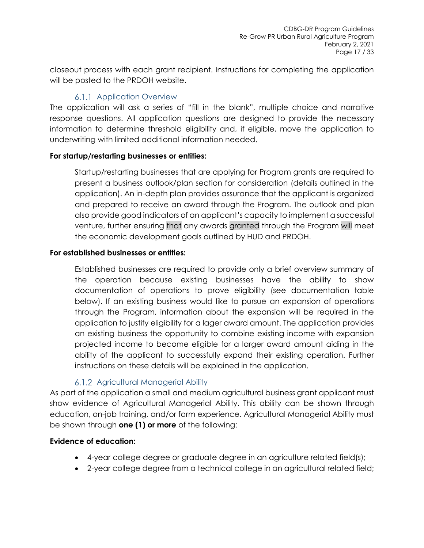closeout process with each grant recipient. Instructions for completing the application will be posted to the PRDOH website.

#### 6.1.1 Application Overview

The application will ask a series of "fill in the blank", multiple choice and narrative response questions. All application questions are designed to provide the necessary information to determine threshold eligibility and, if eligible, move the application to underwriting with limited additional information needed.

#### **For startup/restarting businesses or entities:**

Startup/restarting businesses that are applying for Program grants are required to present a business outlook/plan section for consideration (details outlined in the application). An in-depth plan provides assurance that the applicant is organized and prepared to receive an award through the Program. The outlook and plan also provide good indicators of an applicant's capacity to implement a successful venture, further ensuring that any awards granted through the Program will meet the economic development goals outlined by HUD and PRDOH.

#### **For established businesses or entities:**

Established businesses are required to provide only a brief overview summary of the operation because existing businesses have the ability to show documentation of operations to prove eligibility (see documentation table below). If an existing business would like to pursue an expansion of operations through the Program, information about the expansion will be required in the application to justify eligibility for a lager award amount. The application provides an existing business the opportunity to combine existing income with expansion projected income to become eligible for a larger award amount aiding in the ability of the applicant to successfully expand their existing operation. Further instructions on these details will be explained in the application.

#### Agricultural Managerial Ability

As part of the application a small and medium agricultural business grant applicant must show evidence of Agricultural Managerial Ability. This ability can be shown through education, on-job training, and/or farm experience. Agricultural Managerial Ability must be shown through **one (1) or more** of the following:

#### **Evidence of education:**

- 4-year college degree or graduate degree in an agriculture related field(s);
- 2-year college degree from a technical college in an agricultural related field;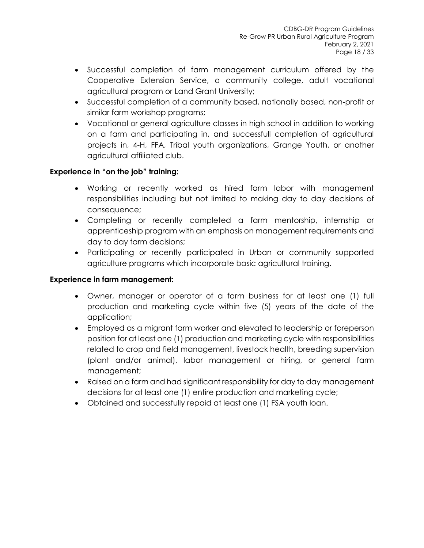- Successful completion of farm management curriculum offered by the Cooperative Extension Service, a community college, adult vocational agricultural program or Land Grant University;
- Successful completion of a community based, nationally based, non-profit or similar farm workshop programs;
- Vocational or general agriculture classes in high school in addition to working on a farm and participating in, and successfull completion of agricultural projects in, 4-H, FFA, Tribal youth organizations, Grange Youth, or another agricultural affiliated club.

#### **Experience in "on the job" training:**

- Working or recently worked as hired farm labor with management responsibilities including but not limited to making day to day decisions of consequence;
- Completing or recently completed a farm mentorship, internship or apprenticeship program with an emphasis on management requirements and day to day farm decisions;
- Participating or recently participated in Urban or community supported agriculture programs which incorporate basic agricultural training.

#### **Experience in farm management:**

- Owner, manager or operator of a farm business for at least one (1) full production and marketing cycle within five (5) years of the date of the application;
- Employed as a migrant farm worker and elevated to leadership or foreperson position for at least one (1) production and marketing cycle with responsibilities related to crop and field management, livestock health, breeding supervision (plant and/or animal), labor management or hiring, or general farm management;
- Raised on a farm and had significant responsibility for day to day management decisions for at least one (1) entire production and marketing cycle;
- Obtained and successfully repaid at least one (1) FSA youth loan.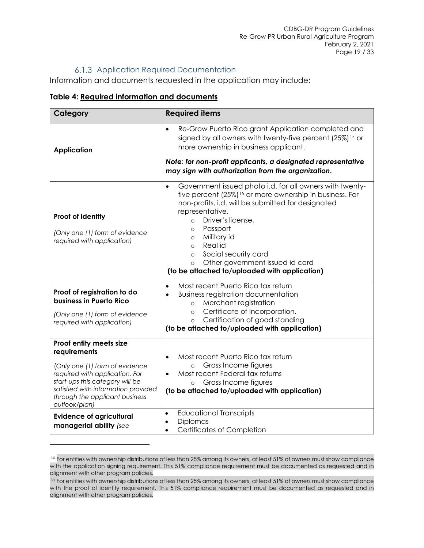#### 6.1.3 Application Required Documentation

Information and documents requested in the application may include:

| Category                                                                                                                                                                                                                                 | <b>Required items</b>                                                                                                                                                                                                                                                                                                                                                                                                                                            |
|------------------------------------------------------------------------------------------------------------------------------------------------------------------------------------------------------------------------------------------|------------------------------------------------------------------------------------------------------------------------------------------------------------------------------------------------------------------------------------------------------------------------------------------------------------------------------------------------------------------------------------------------------------------------------------------------------------------|
| <b>Application</b>                                                                                                                                                                                                                       | Re-Grow Puerto Rico grant Application completed and<br>$\bullet$<br>signed by all owners with twenty-five percent (25%) <sup>14</sup> or<br>more ownership in business applicant.<br>Note: for non-profit applicants, a designated representative<br>may sign with authorization from the organization.                                                                                                                                                          |
| Proof of identity<br>(Only one (1) form of evidence<br>required with application)                                                                                                                                                        | Government issued photo i.d. for all owners with twenty-<br>$\bullet$<br>five percent (25%) <sup>15</sup> or more ownership in business. For<br>non-profits, i.d. will be submitted for designated<br>representative.<br>Driver's license,<br>$\Omega$<br>Passport<br>$\circ$<br>Military id<br>$\circ$<br>Real id<br>$\Omega$<br>Social security card<br>$\circ$<br>Other government issued id card<br>$\circ$<br>(to be attached to/uploaded with application) |
| Proof of registration to do<br>business in Puerto Rico<br>(Only one (1) form of evidence<br>required with application)                                                                                                                   | Most recent Puerto Rico tax return<br><b>Business registration documentation</b><br>Merchant registration<br>$\circ$<br>Certificate of Incorporation.<br>$\circ$<br>Certification of good standing<br>$\circ$<br>(to be attached to/uploaded with application)                                                                                                                                                                                                   |
| Proof entity meets size<br>requirements<br>(Only one (1) form of evidence<br>required with application. For<br>start-ups this category will be<br>satisfied with information provided<br>through the applicant business<br>outlook/plan) | Most recent Puerto Rico tax return<br>$\bullet$<br>Gross Income figures<br>$\circ$<br>Most recent Federal tax returns<br>Gross Income figures<br>(to be attached to/uploaded with application)                                                                                                                                                                                                                                                                   |
| <b>Evidence of agricultural</b><br>managerial ability (see                                                                                                                                                                               | <b>Educational Transcripts</b><br>$\bullet$<br>Diplomas<br>Certificates of Completion<br>$\bullet$                                                                                                                                                                                                                                                                                                                                                               |

#### **Table 4: Required information and documents**

 $\overline{a}$ 

<span id="page-18-0"></span><sup>&</sup>lt;sup>14</sup> For entities with ownership distributions of less than 25% among its owners, at least 51% of owners must show compliance with the application signing requirement. This 51% compliance requirement must be documented as requested and in alignment with other program policies.

<span id="page-18-1"></span><sup>&</sup>lt;sup>15</sup> For entities with ownership distributions of less than 25% among its owners, at least 51% of owners must show compliance with the proof of identity requirement. This 51% compliance requirement must be documented as requested and in alignment with other program policies.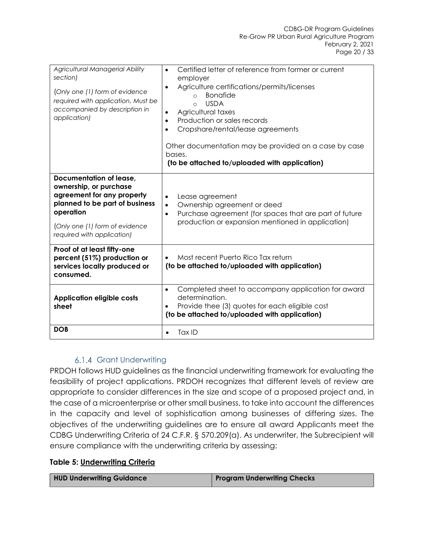| Agricultural Managerial Ability<br>section)<br>(Only one (1) form of evidence<br>required with application. Must be<br>accompanied by description in<br>application)                           | Certified letter of reference from former or current<br>$\bullet$<br>employer<br>Agriculture certifications/permits/licenses<br>$\bullet$<br><b>Bonafide</b><br>$\circ$<br><b>USDA</b><br>$\circ$<br>Agricultural taxes<br>Production or sales records<br>٠<br>Cropshare/rental/lease agreements<br>$\bullet$<br>Other documentation may be provided on a case by case<br>bases.<br>(to be attached to/uploaded with application) |
|------------------------------------------------------------------------------------------------------------------------------------------------------------------------------------------------|-----------------------------------------------------------------------------------------------------------------------------------------------------------------------------------------------------------------------------------------------------------------------------------------------------------------------------------------------------------------------------------------------------------------------------------|
| Documentation of lease,<br>ownership, or purchase<br>agreement for any property<br>planned to be part of business<br>operation<br>(Only one (1) form of evidence<br>required with application) | Lease agreement<br>Ownership agreement or deed<br>$\bullet$<br>Purchase agreement (for spaces that are part of future<br>$\bullet$<br>production or expansion mentioned in application)                                                                                                                                                                                                                                           |
| Proof of at least fifty-one<br>percent (51%) production or<br>services locally produced or<br>consumed.                                                                                        | Most recent Puerto Rico Tax return<br>$\bullet$<br>(to be attached to/uploaded with application)                                                                                                                                                                                                                                                                                                                                  |
| <b>Application eligible costs</b><br>sheet                                                                                                                                                     | Completed sheet to accompany application for award<br>$\bullet$<br>determination.<br>Provide thee (3) quotes for each eligible cost<br>(to be attached to/uploaded with application)                                                                                                                                                                                                                                              |
| <b>DOB</b>                                                                                                                                                                                     | Tax ID                                                                                                                                                                                                                                                                                                                                                                                                                            |

#### 6.1.4 Grant Underwriting

PRDOH follows HUD guidelines as the financial underwriting framework for evaluating the feasibility of project applications. PRDOH recognizes that different levels of review are appropriate to consider differences in the size and scope of a proposed project and, in the case of a microenterprise or other small business, to take into account the differences in the capacity and level of sophistication among businesses of differing sizes. The objectives of the underwriting guidelines are to ensure all award Applicants meet the CDBG Underwriting Criteria of 24 C.F.R. § 570.209(a). As underwriter, the Subrecipient will ensure compliance with the underwriting criteria by assessing:

#### **Table 5: Underwriting Criteria**

| <b>HUD Underwriting Guidance</b> | <b>Program Underwriting Checks</b> |
|----------------------------------|------------------------------------|
|                                  |                                    |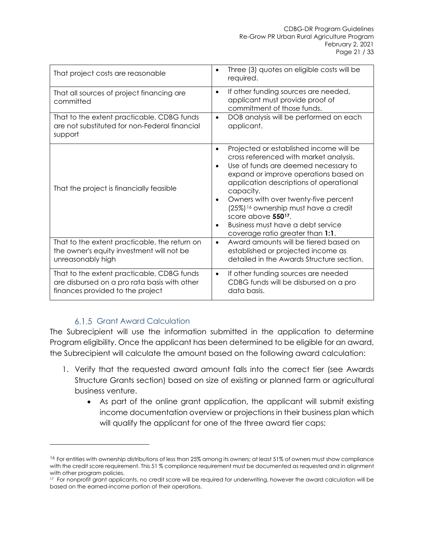| That project costs are reasonable                                                                                              | Three (3) quotes on eligible costs will be<br>$\bullet$<br>required.                                                                                                                                                                                                                                                                                                                                                                                         |
|--------------------------------------------------------------------------------------------------------------------------------|--------------------------------------------------------------------------------------------------------------------------------------------------------------------------------------------------------------------------------------------------------------------------------------------------------------------------------------------------------------------------------------------------------------------------------------------------------------|
| That all sources of project financing are<br>committed                                                                         | If other funding sources are needed,<br>$\bullet$<br>applicant must provide proof of<br>commitment of those funds.                                                                                                                                                                                                                                                                                                                                           |
| That to the extent practicable, CDBG funds<br>are not substituted for non-Federal financial<br>support                         | DOB analysis will be performed on each<br>$\bullet$<br>applicant.                                                                                                                                                                                                                                                                                                                                                                                            |
| That the project is financially feasible                                                                                       | Projected or established income will be<br>$\bullet$<br>cross referenced with market analysis.<br>Use of funds are deemed necessary to<br>$\bullet$<br>expand or improve operations based on<br>application descriptions of operational<br>capacity.<br>Owners with over twenty-five percent<br>$\bullet$<br>(25%) <sup>16</sup> ownership must have a credit<br>score above 55017.<br>Business must have a debt service<br>coverage ratio greater than 1:1. |
| That to the extent practicable, the return on<br>the owner's equity investment will not be<br>unreasonably high                | Award amounts will be tiered based on<br>$\bullet$<br>established or projected income as<br>detailed in the Awards Structure section.                                                                                                                                                                                                                                                                                                                        |
| That to the extent practicable, CDBG funds<br>are disbursed on a pro rata basis with other<br>finances provided to the project | If other funding sources are needed<br>$\bullet$<br>CDBG funds will be disbursed on a pro<br>data basis.                                                                                                                                                                                                                                                                                                                                                     |

#### Grant Award Calculation

 $\overline{a}$ 

The Subrecipient will use the information submitted in the application to determine Program eligibility. Once the applicant has been determined to be eligible for an award, the Subrecipient will calculate the amount based on the following award calculation:

- 1. Verify that the requested award amount falls into the correct tier (see Awards Structure Grants section) based on size of existing or planned farm or agricultural business venture.
	- As part of the online grant application, the applicant will submit existing income documentation overview or projections in their business plan which will qualify the applicant for one of the three award tier caps;

<span id="page-20-0"></span><sup>&</sup>lt;sup>16</sup> For entities with ownership distributions of less than 25% among its owners; at least 51% of owners must show compliance with the credit score requirement. This 51 % compliance requirement must be documented as requested and in alignment with other program policies.

<span id="page-20-1"></span><sup>&</sup>lt;sup>17</sup> For nonprofit grant applicants, no credit score will be required for underwriting, however the award calculation will be based on the earned-income portion of their operations.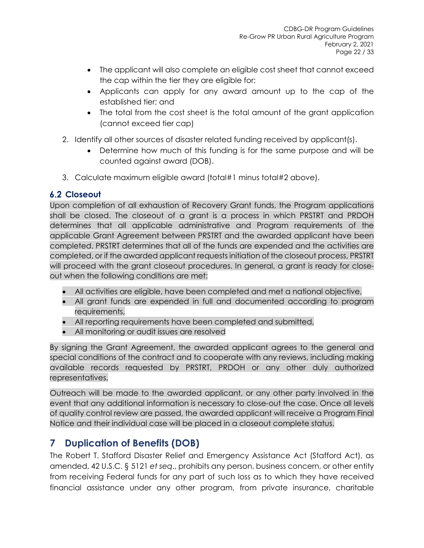- The applicant will also complete an eligible cost sheet that cannot exceed the cap within the tier they are eligible for;
- Applicants can apply for any award amount up to the cap of the established tier; and
- The total from the cost sheet is the total amount of the grant application (cannot exceed tier cap)
- 2. Identify all other sources of disaster related funding received by applicant(s).
	- Determine how much of this funding is for the same purpose and will be counted against award (DOB).
- 3. Calculate maximum eligible award (total#1 minus total#2 above).

### <span id="page-21-0"></span>**6.2 Closeout**

Upon completion of all exhaustion of Recovery Grant funds, the Program applications shall be closed. The closeout of a grant is a process in which PRSTRT and PRDOH determines that all applicable administrative and Program requirements of the applicable Grant Agreement between PRSTRT and the awarded applicant have been completed. PRSTRT determines that all of the funds are expended and the activities are completed, or if the awarded applicant requests initiation of the closeout process, PRSTRT will proceed with the grant closeout procedures. In general, a grant is ready for closeout when the following conditions are met:

- All activities are eligible, have been completed and met a national objective,
- All grant funds are expended in full and documented according to program requirements,
- All reporting requirements have been completed and submitted,
- All monitoring or audit issues are resolved

By signing the Grant Agreement, the awarded applicant agrees to the general and special conditions of the contract and to cooperate with any reviews, including making available records requested by PRSTRT, PRDOH or any other duly authorized representatives.

Outreach will be made to the awarded applicant, or any other party involved in the event that any additional information is necessary to close-out the case. Once all levels of quality control review are passed, the awarded applicant will receive a Program Final Notice and their individual case will be placed in a closeout complete status.

## <span id="page-21-1"></span>**7 Duplication of Benefits (DOB)**

The Robert T. Stafford Disaster Relief and Emergency Assistance Act (Stafford Act), as amended, 42 U.S.C. § 5121 *et seq*., prohibits any person, business concern, or other entity from receiving Federal funds for any part of such loss as to which they have received financial assistance under any other program, from private insurance, charitable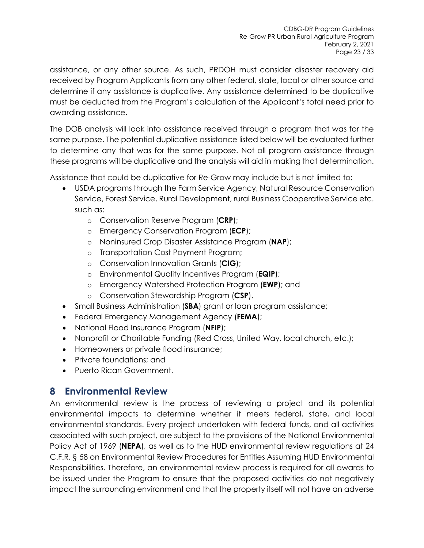assistance, or any other source. As such, PRDOH must consider disaster recovery aid received by Program Applicants from any other federal, state, local or other source and determine if any assistance is duplicative. Any assistance determined to be duplicative must be deducted from the Program's calculation of the Applicant's total need prior to awarding assistance.

The DOB analysis will look into assistance received through a program that was for the same purpose. The potential duplicative assistance listed below will be evaluated further to determine any that was for the same purpose. Not all program assistance through these programs will be duplicative and the analysis will aid in making that determination.

Assistance that could be duplicative for Re-Grow may include but is not limited to:

- USDA programs through the Farm Service Agency, Natural Resource Conservation Service, Forest Service, Rural Development, rural Business Cooperative Service etc. such as:
	- o Conservation Reserve Program (**CRP**);
	- o Emergency Conservation Program (**ECP**);
	- o Noninsured Crop Disaster Assistance Program (**NAP**);
	- o Transportation Cost Payment Program;
	- o Conservation Innovation Grants (**CIG**);
	- o Environmental Quality Incentives Program (**EQIP**);
	- o Emergency Watershed Protection Program (**EWP**); and
	- o Conservation Stewardship Program (**CSP**).
- Small Business Administration (**SBA**) grant or loan program assistance;
- Federal Emergency Management Agency (**FEMA**);
- National Flood Insurance Program (**NFIP**);
- Nonprofit or Charitable Funding (Red Cross, United Way, local church, etc.);
- Homeowners or private flood insurance;
- Private foundations; and
- Puerto Rican Government.

## <span id="page-22-0"></span>**8 Environmental Review**

An environmental review is the process of reviewing a project and its potential environmental impacts to determine whether it meets federal, state, and local environmental standards. Every project undertaken with federal funds, and all activities associated with such project, are subject to the provisions of the National Environmental Policy Act of 1969 (**NEPA**), as well as to the HUD environmental review regulations at 24 C.F.R. § 58 on Environmental Review Procedures for Entities Assuming HUD Environmental Responsibilities. Therefore, an environmental review process is required for all awards to be issued under the Program to ensure that the proposed activities do not negatively impact the surrounding environment and that the property itself will not have an adverse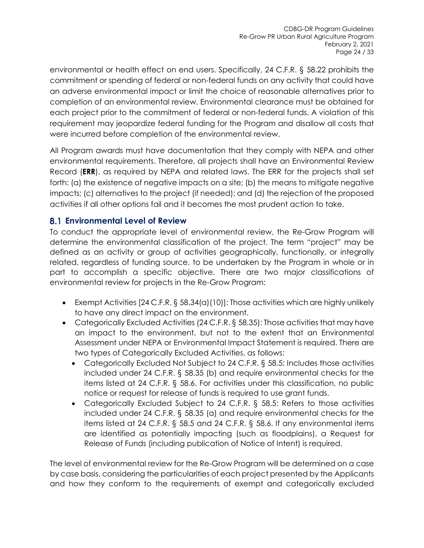environmental or health effect on end users. Specifically, 24 C.F.R. § 58.22 prohibits the commitment or spending of federal or non-federal funds on any activity that could have an adverse environmental impact or limit the choice of reasonable alternatives prior to completion of an environmental review. Environmental clearance must be obtained for each project prior to the commitment of federal or non-federal funds. A violation of this requirement may jeopardize federal funding for the Program and disallow all costs that were incurred before completion of the environmental review.

All Program awards must have documentation that they comply with NEPA and other environmental requirements. Therefore, all projects shall have an Environmental Review Record (**ERR**), as required by NEPA and related laws. The ERR for the projects shall set forth: (a) the existence of negative impacts on a site; (b) the means to mitigate negative impacts; (c) alternatives to the project (if needed); and (d) the rejection of the proposed activities if all other options fail and it becomes the most prudent action to take.

#### <span id="page-23-0"></span>**Environmental Level of Review**

To conduct the appropriate level of environmental review, the Re-Grow Program will determine the environmental classification of the project. The term "project" may be defined as an activity or group of activities geographically, functionally, or integrally related, regardless of funding source, to be undertaken by the Program in whole or in part to accomplish a specific objective. There are two major classifications of environmental review for projects in the Re-Grow Program:

- Exempt Activities [24 C.F.R. § 58.34(a)(10)]: Those activities which are highly unlikely to have any direct impact on the environment.
- Categorically Excluded Activities (24 C.F.R. § 58.35): Those activities that may have an impact to the environment, but not to the extent that an Environmental Assessment under NEPA or Environmental Impact Statement is required. There are two types of Categorically Excluded Activities, as follows:
	- Categorically Excluded Not Subject to 24 C.F.R. § 58.5: Includes those activities included under 24 C.F.R. § 58.35 (b) and require environmental checks for the items listed at 24 C.F.R. § 58.6. For activities under this classification, no public notice or request for release of funds is required to use grant funds.
	- Categorically Excluded Subject to 24 C.F.R. § 58.5: Refers to those activities included under 24 C.F.R. § 58.35 (a) and require environmental checks for the items listed at 24 C.F.R. § 58.5 and 24 C.F.R. § 58.6. If any environmental items are identified as potentially impacting (such as floodplains), a Request for Release of Funds (including publication of Notice of Intent) is required.

The level of environmental review for the Re-Grow Program will be determined on a case by case basis, considering the particularities of each project presented by the Applicants and how they conform to the requirements of exempt and categorically excluded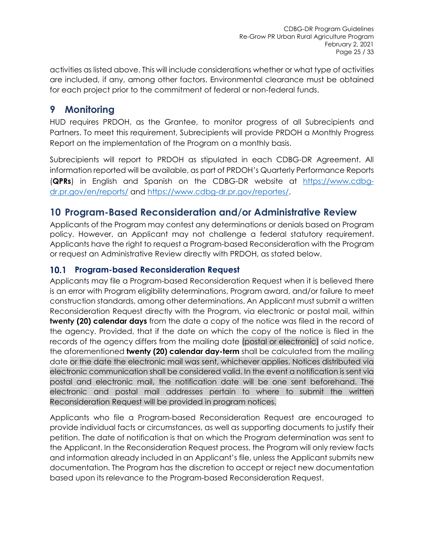activities as listed above. This will include considerations whether or what type of activities are included, if any, among other factors. Environmental clearance must be obtained for each project prior to the commitment of federal or non-federal funds.

## <span id="page-24-0"></span>**9 Monitoring**

HUD requires PRDOH, as the Grantee, to monitor progress of all Subrecipients and Partners. To meet this requirement, Subrecipients will provide PRDOH a Monthly Progress Report on the implementation of the Program on a monthly basis.

Subrecipients will report to PRDOH as stipulated in each CDBG-DR Agreement. All information reported will be available, as part of PRDOH's Quarterly Performance Reports (**QPRs**) in English and Spanish on the CDBG-DR website at [https://www.cdbg](https://www.cdbg-dr.pr.gov/en/reports/)[dr.pr.gov/en/reports/](https://www.cdbg-dr.pr.gov/en/reports/) and [https://www.cdbg-dr.pr.gov/reportes/.](https://www.cdbg-dr.pr.gov/reportes/)

## <span id="page-24-1"></span>**10 Program-Based Reconsideration and/or Administrative Review**

Applicants of the Program may contest any determinations or denials based on Program policy. However, an Applicant may not challenge a federal statutory requirement. Applicants have the right to request a Program-based Reconsideration with the Program or request an Administrative Review directly with PRDOH, as stated below.

#### <span id="page-24-2"></span> $10.1$ **Program-based Reconsideration Request**

Applicants may file a Program-based Reconsideration Request when it is believed there is an error with Program eligibility determinations, Program award, and/or failure to meet construction standards, among other determinations. An Applicant must submit a written Reconsideration Request directly with the Program, via electronic or postal mail, within **twenty (20) calendar days** from the date a copy of the notice was filed in the record of the agency. Provided, that if the date on which the copy of the notice is filed in the records of the agency differs from the mailing date (postal or electronic) of said notice, the aforementioned **twenty (20) calendar day-term** shall be calculated from the mailing date or the date the electronic mail was sent, whichever applies. Notices distributed via electronic communication shall be considered valid. In the event a notification is sent via postal and electronic mail, the notification date will be one sent beforehand. The electronic and postal mail addresses pertain to where to submit the written Reconsideration Request will be provided in program notices.

Applicants who file a Program-based Reconsideration Request are encouraged to provide individual facts or circumstances, as well as supporting documents to justify their petition. The date of notification is that on which the Program determination was sent to the Applicant. In the Reconsideration Request process, the Program will only review facts and information already included in an Applicant's file, unless the Applicant submits new documentation. The Program has the discretion to accept or reject new documentation based upon its relevance to the Program-based Reconsideration Request.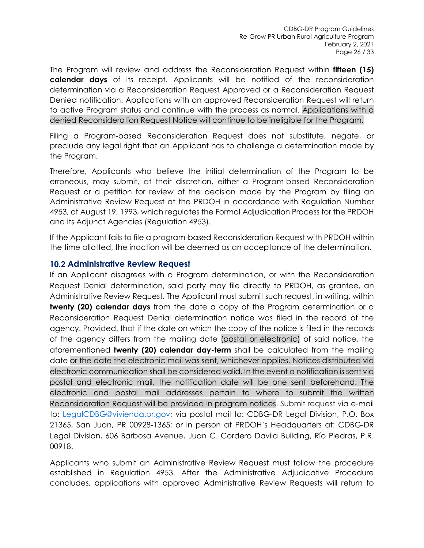The Program will review and address the Reconsideration Request within **fifteen (15) calendar days** of its receipt. Applicants will be notified of the reconsideration determination via a Reconsideration Request Approved or a Reconsideration Request Denied notification. Applications with an approved Reconsideration Request will return to active Program status and continue with the process as normal. Applications with a denied Reconsideration Request Notice will continue to be ineligible for the Program.

Filing a Program-based Reconsideration Request does not substitute, negate, or preclude any legal right that an Applicant has to challenge a determination made by the Program.

Therefore, Applicants who believe the initial determination of the Program to be erroneous, may submit, at their discretion, either a Program-based Reconsideration Request or a petition for review of the decision made by the Program by filing an Administrative Review Request at the PRDOH in accordance with Regulation Number 4953, of August 19, 1993, which regulates the Formal Adjudication Process for the PRDOH and its Adjunct Agencies (Regulation 4953).

If the Applicant fails to file a program-based Reconsideration Request with PRDOH within the time allotted, the inaction will be deemed as an acceptance of the determination.

#### <span id="page-25-0"></span>**Administrative Review Request**

If an Applicant disagrees with a Program determination, or with the Reconsideration Request Denial determination, said party may file directly to PRDOH, as grantee, an Administrative Review Request. The Applicant must submit such request, in writing, within **twenty (20) calendar days** from the date a copy of the Program determination or a Reconsideration Request Denial determination notice was filed in the record of the agency. Provided, that if the date on which the copy of the notice is filed in the records of the agency differs from the mailing date (postal or electronic) of said notice, the aforementioned **twenty (20) calendar day-term** shall be calculated from the mailing date or the date the electronic mail was sent, whichever applies. Notices distributed via electronic communication shall be considered valid. In the event a notification is sent via postal and electronic mail, the notification date will be one sent beforehand. The electronic and postal mail addresses pertain to where to submit the written Reconsideration Request will be provided in program notices. Submit request via e-mail to: [LegalCDBG@vivienda.pr.gov;](mailto:LegalCDBG@vivienda.pr.gov) via postal mail to: CDBG-DR Legal Division, P.O. Box 21365, San Juan, PR 00928-1365; or in person at PRDOH's Headquarters at: CDBG-DR Legal Division, 606 Barbosa Avenue, Juan C. Cordero Davila Building, Río Piedras, P.R. 00918.

Applicants who submit an Administrative Review Request must follow the procedure established in Regulation 4953. After the Administrative Adjudicative Procedure concludes, applications with approved Administrative Review Requests will return to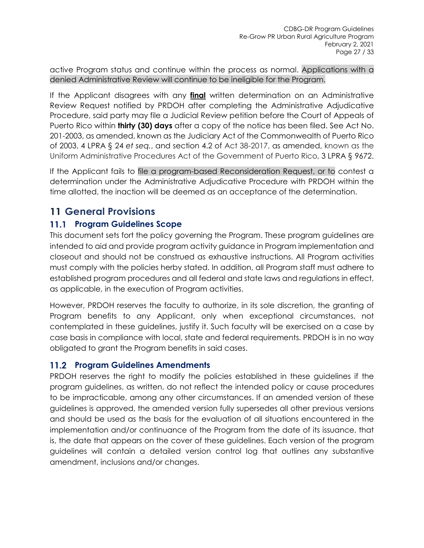active Program status and continue within the process as normal. Applications with a denied Administrative Review will continue to be ineligible for the Program.

If the Applicant disagrees with any **final** written determination on an Administrative Review Request notified by PRDOH after completing the Administrative Adjudicative Procedure, said party may file a Judicial Review petition before the Court of Appeals of Puerto Rico within **thirty (30) days** after a copy of the notice has been filed. See Act No. 201-2003, as amended, known as the Judiciary Act of the Commonwealth of Puerto Rico of 2003, 4 LPRA § 24 *et seq.*, and section 4.2 of Act 38-2017, as amended, known as the Uniform Administrative Procedures Act of the Government of Puerto Rico, 3 LPRA § 9672.

If the Applicant fails to file a program-based Reconsideration Request, or to contest a determination under the Administrative Adjudicative Procedure with PRDOH within the time allotted, the inaction will be deemed as an acceptance of the determination.

## <span id="page-26-0"></span>**General Provisions**

### <span id="page-26-1"></span>**Program Guidelines Scope**

This document sets fort the policy governing the Program. These program guidelines are intended to aid and provide program activity guidance in Program implementation and closeout and should not be construed as exhaustive instructions. All Program activities must comply with the policies herby stated. In addition, all Program staff must adhere to established program procedures and all federal and state laws and regulations in effect, as applicable, in the execution of Program activities.

However, PRDOH reserves the faculty to authorize, in its sole discretion, the granting of Program benefits to any Applicant, only when exceptional circumstances, not contemplated in these guidelines, justify it. Such faculty will be exercised on a case by case basis in compliance with local, state and federal requirements. PRDOH is in no way obligated to grant the Program benefits in said cases.

#### <span id="page-26-2"></span>**Program Guidelines Amendments**

PRDOH reserves the right to modify the policies established in these guidelines if the program guidelines, as written, do not reflect the intended policy or cause procedures to be impracticable, among any other circumstances. If an amended version of these guidelines is approved, the amended version fully supersedes all other previous versions and should be used as the basis for the evaluation of all situations encountered in the implementation and/or continuance of the Program from the date of its issuance, that is, the date that appears on the cover of these guidelines. Each version of the program guidelines will contain a detailed version control log that outlines any substantive amendment, inclusions and/or changes.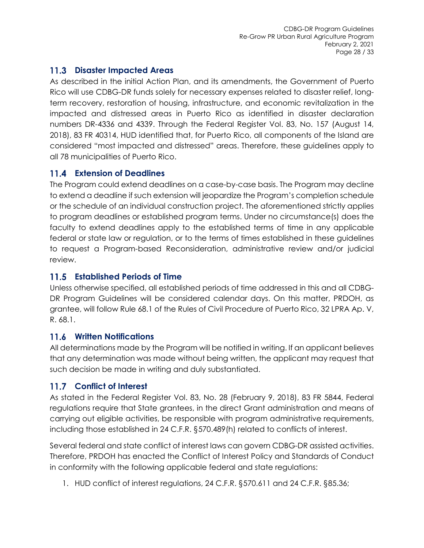#### <span id="page-27-0"></span>**Disaster Impacted Areas**

As described in the initial Action Plan, and its amendments, the Government of Puerto Rico will use CDBG-DR funds solely for necessary expenses related to disaster relief, longterm recovery, restoration of housing, infrastructure, and economic revitalization in the impacted and distressed areas in Puerto Rico as identified in disaster declaration numbers DR-4336 and 4339. Through the Federal Register Vol. 83, No. 157 (August 14, 2018), 83 FR 40314, HUD identified that, for Puerto Rico, all components of the Island are considered "most impacted and distressed" areas. Therefore, these guidelines apply to all 78 municipalities of Puerto Rico.

#### <span id="page-27-1"></span>**Extension of Deadlines**

The Program could extend deadlines on a case-by-case basis. The Program may decline to extend a deadline if such extension will jeopardize the Program's completion schedule or the schedule of an individual construction project. The aforementioned strictly applies to program deadlines or established program terms. Under no circumstance(s) does the faculty to extend deadlines apply to the established terms of time in any applicable federal or state law or regulation, or to the terms of times established in these guidelines to request a Program-based Reconsideration, administrative review and/or judicial review.

#### <span id="page-27-2"></span>**Established Periods of Time**

Unless otherwise specified, all established periods of time addressed in this and all CDBG-DR Program Guidelines will be considered calendar days. On this matter, PRDOH, as grantee, will follow Rule 68.1 of the Rules of Civil Procedure of Puerto Rico, 32 LPRA Ap. V, R. 68.1.

#### <span id="page-27-3"></span>**Written Notifications**

All determinations made by the Program will be notified in writing. If an applicant believes that any determination was made without being written, the applicant may request that such decision be made in writing and duly substantiated.

#### <span id="page-27-4"></span>**Conflict of Interest**

As stated in the Federal Register Vol. 83, No. 28 (February 9, 2018), 83 FR 5844, Federal regulations require that State grantees, in the direct Grant administration and means of carrying out eligible activities, be responsible with program administrative requirements, including those established in 24 C.F.R. §570.489(h) related to conflicts of interest.

Several federal and state conflict of interest laws can govern CDBG-DR assisted activities. Therefore, PRDOH has enacted the Conflict of Interest Policy and Standards of Conduct in conformity with the following applicable federal and state regulations:

1. HUD conflict of interest regulations, 24 C.F.R. §570.611 and 24 C.F.R. §85.36;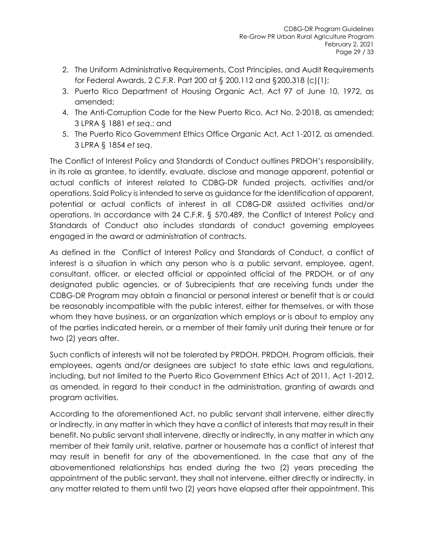- 2. The Uniform Administrative Requirements, Cost Principles, and Audit Requirements for Federal Awards, 2 C.F.R. Part 200 at § 200.112 and §200.318 (c)(1);
- 3. Puerto Rico Department of Housing Organic Act, Act 97 of June 10, 1972, as amended;
- 4. The Anti-Corruption Code for the New Puerto Rico, Act No. 2-2018, as amended; 3 LPRA § 1881 *et seq*.; and
- 5. The Puerto Rico Government Ethics Office Organic Act, Act 1-2012, as amended. 3 LPRA § 1854 *et seq*.

The Conflict of Interest Policy and Standards of Conduct outlines PRDOH's responsibility, in its role as grantee, to identify, evaluate, disclose and manage apparent, potential or actual conflicts of interest related to CDBG-DR funded projects, activities and/or operations. Said Policy is intended to serve as guidance for the identification of apparent, potential or actual conflicts of interest in all CDBG-DR assisted activities and/or operations. In accordance with 24 C.F.R. § 570.489, the Conflict of Interest Policy and Standards of Conduct also includes standards of conduct governing employees engaged in the award or administration of contracts.

As defined in the Conflict of Interest Policy and Standards of Conduct, a conflict of interest is a situation in which any person who is a public servant, employee, agent, consultant, officer, or elected official or appointed official of the PRDOH, or of any designated public agencies, or of Subrecipients that are receiving funds under the CDBG-DR Program may obtain a financial or personal interest or benefit that is or could be reasonably incompatible with the public interest, either for themselves, or with those whom they have business, or an organization which employs or is about to employ any of the parties indicated herein, or a member of their family unit during their tenure or for two (2) years after.

Such conflicts of interests will not be tolerated by PRDOH. PRDOH, Program officials, their employees, agents and/or designees are subject to state ethic laws and regulations, including, but not limited to the Puerto Rico Government Ethics Act of 2011, Act 1-2012, as amended, in regard to their conduct in the administration, granting of awards and program activities.

According to the aforementioned Act, no public servant shall intervene, either directly or indirectly, in any matter in which they have a conflict of interests that may result in their benefit. No public servant shall intervene, directly or indirectly, in any matter in which any member of their family unit, relative, partner or housemate has a conflict of interest that may result in benefit for any of the abovementioned. In the case that any of the abovementioned relationships has ended during the two (2) years preceding the appointment of the public servant, they shall not intervene, either directly or indirectly, in any matter related to them until two (2) years have elapsed after their appointment. This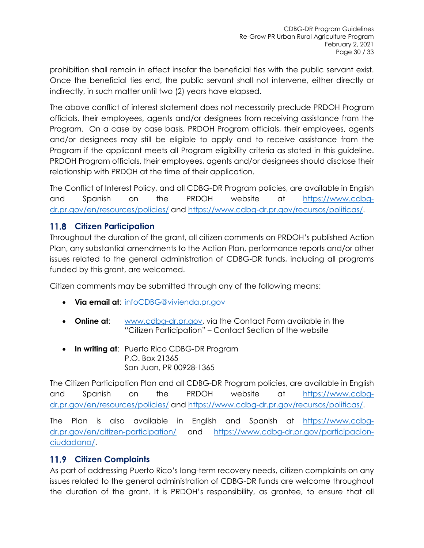prohibition shall remain in effect insofar the beneficial ties with the public servant exist. Once the beneficial ties end, the public servant shall not intervene, either directly or indirectly, in such matter until two (2) years have elapsed.

The above conflict of interest statement does not necessarily preclude PRDOH Program officials, their employees, agents and/or designees from receiving assistance from the Program. On a case by case basis, PRDOH Program officials, their employees, agents and/or designees may still be eligible to apply and to receive assistance from the Program if the applicant meets all Program eligibility criteria as stated in this guideline. PRDOH Program officials, their employees, agents and/or designees should disclose their relationship with PRDOH at the time of their application.

The Conflict of Interest Policy, and all CDBG-DR Program policies, are available in English and Spanish on the PRDOH website at [https://www.cdbg](https://www.cdbg-dr.pr.gov/en/resources/policies/)[dr.pr.gov/en/resources/policies/](https://www.cdbg-dr.pr.gov/en/resources/policies/) and [https://www.cdbg-dr.pr.gov/recursos/politicas/.](https://www.cdbg-dr.pr.gov/recursos/politicas/)

#### <span id="page-29-0"></span>**Citizen Participation**

Throughout the duration of the grant, all citizen comments on PRDOH's published Action Plan, any substantial amendments to the Action Plan, performance reports and/or other issues related to the general administration of CDBG-DR funds, including all programs funded by this grant, are welcomed.

Citizen comments may be submitted through any of the following means:

- **Via email at**: [infoCDBG@vivienda.pr.gov](mailto:infoCDBG@vivienda.pr.gov)
- **Online at**: [www.cdbg-dr.pr.gov,](http://www.cdbg-dr.pr.gov/) via the Contact Form available in the "Citizen Participation" – Contact Section of the website
- **In writing at**: Puerto Rico CDBG-DR Program P.O. Box 21365 San Juan, PR 00928-1365

The Citizen Participation Plan and all CDBG-DR Program policies, are available in English and Spanish on the PRDOH website at [https://www.cdbg](https://www.cdbg-dr.pr.gov/en/resources/policies/)[dr.pr.gov/en/resources/policies/](https://www.cdbg-dr.pr.gov/en/resources/policies/) and [https://www.cdbg-dr.pr.gov/recursos/politicas/.](https://www.cdbg-dr.pr.gov/recursos/politicas/)

The Plan is also available in English and Spanish at [https://www.cdbg](https://www.cdbg-dr.pr.gov/en/citizen-participation/)[dr.pr.gov/en/citizen-participation/](https://www.cdbg-dr.pr.gov/en/citizen-participation/) and [https://www.cdbg-dr.pr.gov/participacion](https://www.cdbg-dr.pr.gov/participacion-ciudadana/)[ciudadana/.](https://www.cdbg-dr.pr.gov/participacion-ciudadana/)

#### <span id="page-29-1"></span>**Citizen Complaints**

As part of addressing Puerto Rico's long-term recovery needs, citizen complaints on any issues related to the general administration of CDBG-DR funds are welcome throughout the duration of the grant. It is PRDOH's responsibility, as grantee, to ensure that all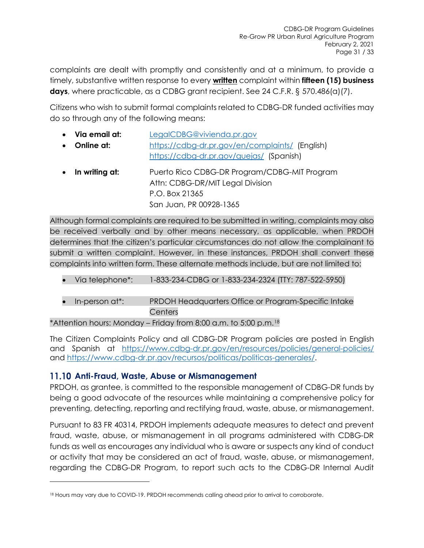complaints are dealt with promptly and consistently and at a minimum, to provide a timely, substantive written response to every **written** complaint within **fifteen (15) business days**, where practicable, as a CDBG grant recipient. See 24 C.F.R. § 570.486(a)(7).

Citizens who wish to submit formal complaints related to CDBG-DR funded activities may do so through any of the following means:

- **Via email at:** [LegalCDBG@vivienda.pr.gov](mailto:LegalCDBG@vivienda.pr.gov) • **Online at:** <https://cdbg-dr.pr.gov/en/complaints/>(English) <https://cdbg-dr.pr.gov/quejas/>(Spanish)
- **In writing at:** Puerto Rico CDBG-DR Program/CDBG-MIT Program Attn: CDBG-DR/MIT Legal Division P.O. Box 21365 San Juan, PR 00928-1365

Although formal complaints are required to be submitted in writing, complaints may also be received verbally and by other means necessary, as applicable, when PRDOH determines that the citizen's particular circumstances do not allow the complainant to submit a written complaint. However, in these instances, PRDOH shall convert these complaints into written form. These alternate methods include, but are not limited to:

- Via telephone\*: 1-833-234-CDBG or 1-833-234-2324 (TTY: 787-522-5950)
- In-person at\*: PRDOH Headquarters Office or Program-Specific Intake **Centers**

\*Attention hours: Monday – Friday from 8:00 a.m. to 5:00 p.m.  $18$ 

The Citizen Complaints Policy and all CDBG-DR Program policies are posted in English and Spanish at <https://www.cdbg-dr.pr.gov/en/resources/policies/general-policies/> and [https://www.cdbg-dr.pr.gov/recursos/politicas/politicas-generales/.](https://www.cdbg-dr.pr.gov/recursos/politicas/politicas-generales/)

#### <span id="page-30-0"></span>**Anti-Fraud, Waste, Abuse or Mismanagement**

 $\overline{a}$ 

PRDOH, as grantee, is committed to the responsible management of CDBG-DR funds by being a good advocate of the resources while maintaining a comprehensive policy for preventing, detecting, reporting and rectifying fraud, waste, abuse, or mismanagement.

Pursuant to 83 FR 40314, PRDOH implements adequate measures to detect and prevent fraud, waste, abuse, or mismanagement in all programs administered with CDBG-DR funds as well as encourages any individual who is aware or suspects any kind of conduct or activity that may be considered an act of fraud, waste, abuse, or mismanagement, regarding the CDBG-DR Program, to report such acts to the CDBG-DR Internal Audit

<span id="page-30-1"></span><sup>18</sup> Hours may vary due to COVID-19. PRDOH recommends calling ahead prior to arrival to corroborate.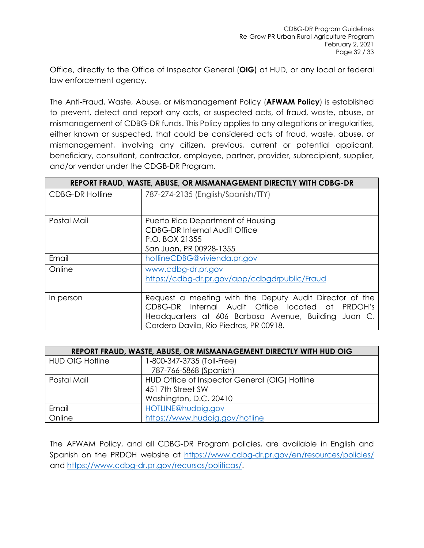Office, directly to the Office of Inspector General (**OIG**) at HUD, or any local or federal law enforcement agency.

The Anti-Fraud, Waste, Abuse, or Mismanagement Policy (**AFWAM Policy**) is established to prevent, detect and report any acts, or suspected acts, of fraud, waste, abuse, or mismanagement of CDBG-DR funds. This Policy applies to any allegations or irregularities, either known or suspected, that could be considered acts of fraud, waste, abuse, or mismanagement, involving any citizen, previous, current or potential applicant, beneficiary, consultant, contractor, employee, partner, provider, subrecipient, supplier, and/or vendor under the CDGB-DR Program.

| REPORT FRAUD, WASTE, ABUSE, OR MISMANAGEMENT DIRECTLY WITH CDBG-DR |                                                                                                                                                                                                               |
|--------------------------------------------------------------------|---------------------------------------------------------------------------------------------------------------------------------------------------------------------------------------------------------------|
| <b>CDBG-DR Hotline</b>                                             | 787-274-2135 (English/Spanish/TTY)                                                                                                                                                                            |
| Postal Mail                                                        | Puerto Rico Department of Housing<br><b>CDBG-DR Internal Audit Office</b><br>P.O. BOX 21355<br>San Juan, PR 00928-1355                                                                                        |
| Email                                                              | hotlineCDBG@vivienda.pr.gov                                                                                                                                                                                   |
| Online                                                             | www.cdbg-dr.pr.gov<br>https://cdbg-dr.pr.gov/app/cdbgdrpublic/Fraud                                                                                                                                           |
| In person                                                          | Request a meeting with the Deputy Audit Director of the<br>CDBG-DR Internal Audit Office located at PRDOH's<br>Headquarters at 606 Barbosa Avenue, Building Juan C.<br>Cordero Davila, Río Piedras, PR 00918. |

| REPORT FRAUD, WASTE, ABUSE, OR MISMANAGEMENT DIRECTLY WITH HUD OIG |                                               |
|--------------------------------------------------------------------|-----------------------------------------------|
| <b>HUD OIG Hotline</b>                                             | 1-800-347-3735 (Toll-Free)                    |
|                                                                    | 787-766-5868 (Spanish)                        |
| Postal Mail                                                        | HUD Office of Inspector General (OIG) Hotline |
|                                                                    | 451 7th Street SW                             |
|                                                                    | Washington, D.C. 20410                        |
| Email                                                              | HOTLINE@hudoig.gov                            |
| Online                                                             | https://www.hudoig.gov/hotline                |

The AFWAM Policy, and all CDBG-DR Program policies, are available in English and Spanish on the PRDOH website at <https://www.cdbg-dr.pr.gov/en/resources/policies/> and [https://www.cdbg-dr.pr.gov/recursos/politicas/.](https://www.cdbg-dr.pr.gov/recursos/politicas/)